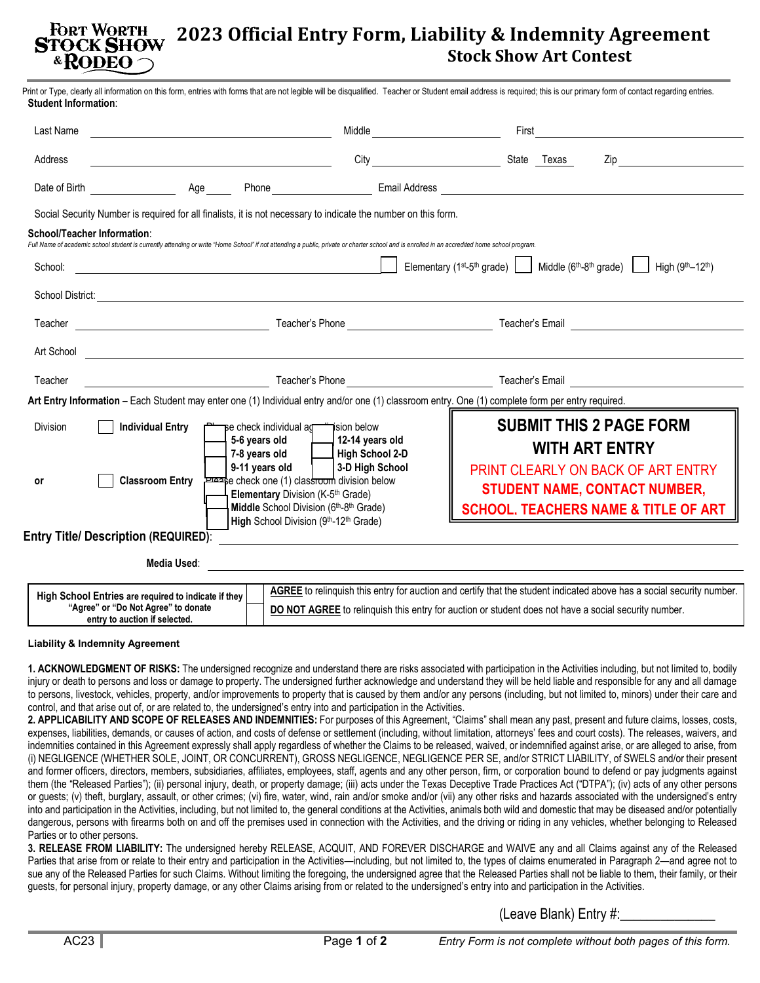## **FORT WORTH 2023 Official Entry Form, Liability & Indemnity Agreement STOCK SHOW Stock Show Art Contest** & RODEO

| Last Name                                   |                         |                                                                                                                                                                                                       |                                                                                                                                                                                               |                                                                                                                                                                                                                                      |                                                                                         |  |
|---------------------------------------------|-------------------------|-------------------------------------------------------------------------------------------------------------------------------------------------------------------------------------------------------|-----------------------------------------------------------------------------------------------------------------------------------------------------------------------------------------------|--------------------------------------------------------------------------------------------------------------------------------------------------------------------------------------------------------------------------------------|-----------------------------------------------------------------------------------------|--|
| Address                                     |                         |                                                                                                                                                                                                       |                                                                                                                                                                                               |                                                                                                                                                                                                                                      |                                                                                         |  |
|                                             |                         |                                                                                                                                                                                                       |                                                                                                                                                                                               |                                                                                                                                                                                                                                      |                                                                                         |  |
|                                             |                         |                                                                                                                                                                                                       | Social Security Number is required for all finalists, it is not necessary to indicate the number on this form.                                                                                |                                                                                                                                                                                                                                      |                                                                                         |  |
| <b>School/Teacher Information:</b>          |                         |                                                                                                                                                                                                       | Full Name of academic school student is currently attending or write "Home School" if not attending a public, private or charter school and is enrolled in an accredited home school program. |                                                                                                                                                                                                                                      |                                                                                         |  |
| School:                                     |                         | <u> 1989 - Johann Barn, mars ann an t-Amhain Aonaich an t-Aonaich an t-Aonaich ann an t-Aonaich ann an t-Aonaich</u>                                                                                  |                                                                                                                                                                                               | Elementary (1 <sup>st</sup> -5 <sup>th</sup> grade)                                                                                                                                                                                  | Middle $(6th-8th \text{ grade})$   High $(9th-12th)$                                    |  |
|                                             |                         |                                                                                                                                                                                                       |                                                                                                                                                                                               |                                                                                                                                                                                                                                      |                                                                                         |  |
|                                             |                         |                                                                                                                                                                                                       |                                                                                                                                                                                               |                                                                                                                                                                                                                                      |                                                                                         |  |
|                                             |                         |                                                                                                                                                                                                       |                                                                                                                                                                                               | Art School <u>Communications and the second contract of the second contract of the second contract of the second contract of the second contract of the second contract of the second contract of the second contract of the sec</u> |                                                                                         |  |
| Teacher                                     |                         |                                                                                                                                                                                                       |                                                                                                                                                                                               |                                                                                                                                                                                                                                      |                                                                                         |  |
|                                             |                         |                                                                                                                                                                                                       |                                                                                                                                                                                               | Art Entry Information - Each Student may enter one (1) Individual entry and/or one (1) classroom entry. One (1) complete form per entry required.                                                                                    |                                                                                         |  |
| <b>Division</b>                             | <b>Individual Entry</b> | se check individual as in ision below<br>9-11 years old                                                                                                                                               | 5-6 years old $\Box$ 12-14 years old<br>7-8 years old   High School 2-D<br>  3-D High School                                                                                                  | <b>SUBMIT THIS 2 PAGE FORM</b><br><b>WITH ART ENTRY</b><br>PRINT CLEARLY ON BACK OF ART ENTRY                                                                                                                                        |                                                                                         |  |
| or                                          | <b>Classroom Entry</b>  | e check one (1) classroom division below<br>Elementary Division (K-5 <sup>th</sup> Grade)<br>Middle School Division (6 <sup>th</sup> -8 <sup>th</sup> Grade)<br>High School Division (9th-12th Grade) |                                                                                                                                                                                               |                                                                                                                                                                                                                                      | <b>STUDENT NAME, CONTACT NUMBER,</b><br><b>SCHOOL, TEACHERS NAME &amp; TITLE OF ART</b> |  |
| <b>Entry Title/ Description (REQUIRED):</b> |                         |                                                                                                                                                                                                       | <u> 1980 - Andrea Andrew Maria (h. 1980).</u>                                                                                                                                                 |                                                                                                                                                                                                                                      |                                                                                         |  |
|                                             | Media Used:             |                                                                                                                                                                                                       |                                                                                                                                                                                               | <u> 1980 - Johann Stoff, deutscher Stoff, der Stoff, der Stoff, der Stoff, der Stoff, der Stoff, der Stoff, der S</u>                                                                                                                |                                                                                         |  |

## **Liability & Indemnity Agreement**

**entry to auction if selected.**

**1. ACKNOWLEDGMENT OF RISKS:** The undersigned recognize and understand there are risks associated with participation in the Activities including, but not limited to, bodily injury or death to persons and loss or damage to property. The undersigned further acknowledge and understand they will be held liable and responsible for any and all damage to persons, livestock, vehicles, property, and/or improvements to property that is caused by them and/or any persons (including, but not limited to, minors) under their care and control, and that arise out of, or are related to, the undersigned's entry into and participation in the Activities.

**2. APPLICABILITY AND SCOPE OF RELEASES AND INDEMNITIES:** For purposes of this Agreement, "Claims" shall mean any past, present and future claims, losses, costs, expenses, liabilities, demands, or causes of action, and costs of defense or settlement (including, without limitation, attorneys' fees and court costs). The releases, waivers, and indemnities contained in this Agreement expressly shall apply regardless of whether the Claims to be released, waived, or indemnified against arise, or are alleged to arise, from (i) NEGLIGENCE (WHETHER SOLE, JOINT, OR CONCURRENT), GROSS NEGLIGENCE, NEGLIGENCE PER SE, and/or STRICT LIABILITY, of SWELS and/or their present and former officers, directors, members, subsidiaries, affiliates, employees, staff, agents and any other person, firm, or corporation bound to defend or pay judgments against them (the "Released Parties"); (ii) personal injury, death, or property damage; (iii) acts under the Texas Deceptive Trade Practices Act ("DTPA"); (iv) acts of any other persons or guests; (v) theft, burglary, assault, or other crimes; (vi) fire, water, wind, rain and/or smoke and/or (vii) any other risks and hazards associated with the undersigned's entry into and participation in the Activities, including, but not limited to, the general conditions at the Activities, animals both wild and domestic that may be diseased and/or potentially dangerous, persons with firearms both on and off the premises used in connection with the Activities, and the driving or riding in any vehicles, whether belonging to Released Parties or to other persons.

**3. RELEASE FROM LIABILITY:** The undersigned hereby RELEASE, ACQUIT, AND FOREVER DISCHARGE and WAIVE any and all Claims against any of the Released Parties that arise from or relate to their entry and participation in the Activities—including, but not limited to, the types of claims enumerated in Paragraph 2—and agree not to sue any of the Released Parties for such Claims. Without limiting the foregoing, the undersigned agree that the Released Parties shall not be liable to them, their family, or their guests, for personal injury, property damage, or any other Claims arising from or related to the undersigned's entry into and participation in the Activities.

(Leave Blank) Entry #: